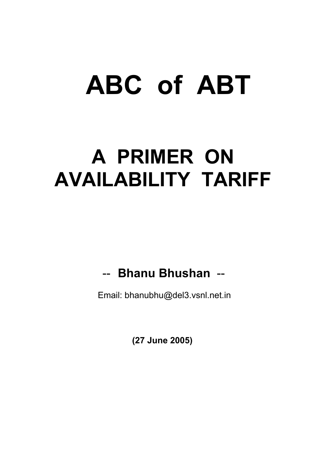# **ABC of ABT**

## **A PRIMER ON AVAILABILITY TARIFF**

## -- **Bhanu Bhushan** --

Email: bhanubhu@del3.vsnl.net.in

 **(27 June 2005)**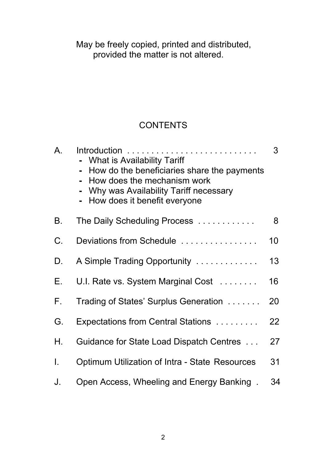May provided the matter is not altered. be freely copied, printed and distributed,

#### **CONTENTS**

| A. | - What is Availability Tariff<br>How do the beneficiaries share the payments<br>How does the mechanism work<br>Why was Availability Tariff necessary<br>- How does it benefit everyone | 3  |
|----|----------------------------------------------------------------------------------------------------------------------------------------------------------------------------------------|----|
| В. | The Daily Scheduling Process                                                                                                                                                           | 8  |
| C. | Deviations from Schedule                                                                                                                                                               | 10 |
| D. | A Simple Trading Opportunity                                                                                                                                                           | 13 |
| Е. | U.I. Rate vs. System Marginal Cost                                                                                                                                                     | 16 |
| F. | Trading of States' Surplus Generation                                                                                                                                                  | 20 |
| G. | Expectations from Central Stations                                                                                                                                                     | 22 |
| Н. | Guidance for State Load Dispatch Centres                                                                                                                                               | 27 |
| I. | Optimum Utilization of Intra - State Resources                                                                                                                                         | 31 |
| J. | Open Access, Wheeling and Energy Banking.                                                                                                                                              | 34 |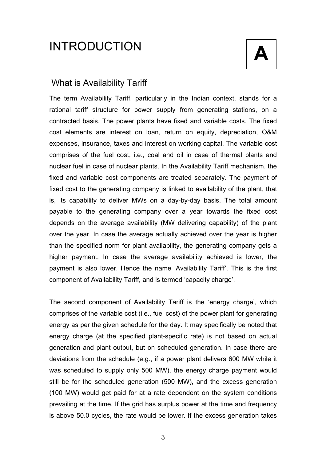## **A** INTRODUCTION



#### What is Availability Tariff

The term Availability Tariff, particularly in the Indian context, stands for a rational tariff structure for power supply from generating stations, on a contracted basis. The power plants have fixed and variable costs. The fixed cost elements are interest on loan, return on equity, depreciation, O&M expenses, insurance, taxes and interest on working capital. The variable cost comprises of the fuel cost, i.e., coal and oil in case of thermal plants and nuclear fuel in case of nuclear plants. In the Availability Tariff mechanism, the fixed and variable cost components are treated separately. The payment of fixed cost to the generating company is linked to availability of the plant, that is, its capability to deliver MWs on a day-by-day basis. The total amount payable to the generating company over a year towards the fixed cost depends on the average availability (MW delivering capability) of the plant over the year. In case the average actually achieved over the year is higher than the specified norm for plant availability, the generating company gets a higher payment. In case the average availability achieved is lower, the payment is also lower. Hence the name 'Availability Tariff'. This is the first component of Availability Tariff, and is termed 'capacity charge'.

The second component of Availability Tariff is the 'energy charge', which comprises of the variable cost (i.e., fuel cost) of the power plant for generating energy as per the given schedule for the day. It may specifically be noted that energy charge (at the specified plant-specific rate) is not based on actual generation and plant output, but on scheduled generation. In case there are deviations from the schedule (e.g., if a power plant delivers 600 MW while it was scheduled to supply only 500 MW), the energy charge payment would still be for the scheduled generation (500 MW), and the excess generation (100 MW) would get paid for at a rate dependent on the system conditions prevailing at the time. If the grid has surplus power at the time and frequency is above 50.0 cycles, the rate would be lower. If the excess generation takes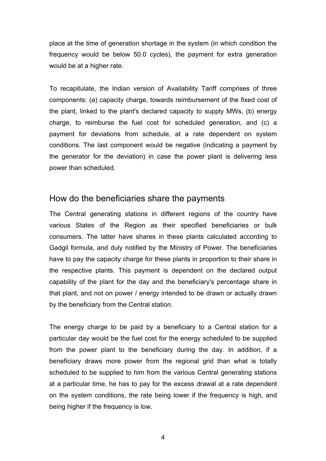place at the time of generation shortage in the system (in which condition the frequency would be below 50.0 cycles), the payment for extra generation would be at a higher rate.

To recapitulate, the Indian version of Availability Tariff comprises of three components: (a) capacity charge, towards reimbursement of the fixed cost of the plant, linked to the plant's declared capacity to supply MWs, (b) energy charge, to reimburse the fuel cost for scheduled generation, and (c) a payment for deviations from schedule, at a rate dependent on system conditions. The last component would be negative (indicating a payment by the generator for the deviation) in case the power plant is delivering less power than scheduled.

#### How do the beneficiaries share the payments

The Central generating stations in different regions of the country have various States of the Region as their specified beneficiaries or bulk consumers. The latter have shares in these plants calculated according to Gadgil formula, and duly notified by the Ministry of Power. The beneficiaries have to pay the capacity charge for these plants in proportion to their share in the respective plants. This payment is dependent on the declared output capability of the plant for the day and the beneficiary's percentage share in that plant, and not on power / energy intended to be drawn or actually drawn by the beneficiary from the Central station.

The energy charge to be paid by a beneficiary to a Central station for a particular day would be the fuel cost for the energy scheduled to be supplied from the power plant to the beneficiary during the day. In addition, if a beneficiary draws more power from the regional grid than what is totally scheduled to be supplied to him from the various Central generating stations at a particular time, he has to pay for the excess drawal at a rate dependent on the system conditions, the rate being lower if the frequency is high, and being higher if the frequency is low.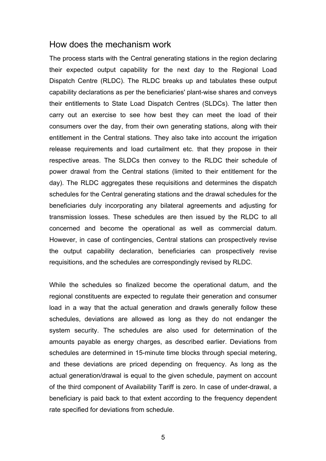#### How does the mechanism work

The process starts with the Central generating stations in the region declaring their expected output capability for the next day to the Regional Load Dispatch Centre (RLDC). The RLDC breaks up and tabulates these output capability declarations as per the beneficiaries' plant-wise shares and conveys their entitlements to State Load Dispatch Centres (SLDCs). The latter then carry out an exercise to see how best they can meet the load of their consumers over the day, from their own generating stations, along with their entitlement in the Central stations. They also take into account the irrigation release requirements and load curtailment etc. that they propose in their respective areas. The SLDCs then convey to the RLDC their schedule of power drawal from the Central stations (limited to their entitlement for the day). The RLDC aggregates these requisitions and determines the dispatch schedules for the Central generating stations and the drawal schedules for the beneficiaries duly incorporating any bilateral agreements and adjusting for transmission losses. These schedules are then issued by the RLDC to all concerned and become the operational as well as commercial datum. However, in case of contingencies, Central stations can prospectively revise the output capability declaration, beneficiaries can prospectively revise requisitions, and the schedules are correspondingly revised by RLDC.

While the schedules so finalized become the operational datum, and the regional constituents are expected to regulate their generation and consumer load in a way that the actual generation and drawls generally follow these schedules, deviations are allowed as long as they do not endanger the system security. The schedules are also used for determination of the amounts payable as energy charges, as described earlier. Deviations from schedules are determined in 15-minute time blocks through special metering, and these deviations are priced depending on frequency. As long as the actual generation/drawal is equal to the given schedule, payment on account of the third component of Availability Tariff is zero. In case of under-drawal, a beneficiary is paid back to that extent according to the frequency dependent rate specified for deviations from schedule.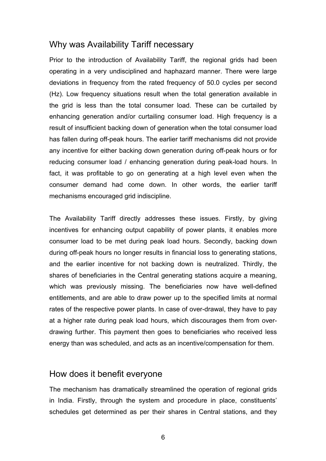#### Why was Availability Tariff necessary

Prior to the introduction of Availability Tariff, the regional grids had been operating in a very undisciplined and haphazard manner. There were large deviations in frequency from the rated frequency of 50.0 cycles per second (Hz). Low frequency situations result when the total generation available in the grid is less than the total consumer load. These can be curtailed by enhancing generation and/or curtailing consumer load. High frequency is a result of insufficient backing down of generation when the total consumer load has fallen during off-peak hours. The earlier tariff mechanisms did not provide any incentive for either backing down generation during off-peak hours or for reducing consumer load / enhancing generation during peak-load hours. In fact, it was profitable to go on generating at a high level even when the consumer demand had come down. In other words, the earlier tariff mechanisms encouraged grid indiscipline.

The Availability Tariff directly addresses these issues. Firstly, by giving incentives for enhancing output capability of power plants, it enables more consumer load to be met during peak load hours. Secondly, backing down during off-peak hours no longer results in financial loss to generating stations, and the earlier incentive for not backing down is neutralized. Thirdly, the shares of beneficiaries in the Central generating stations acquire a meaning, which was previously missing. The beneficiaries now have well-defined entitlements, and are able to draw power up to the specified limits at normal rates of the respective power plants. In case of over-drawal, they have to pay at a higher rate during peak load hours, which discourages them from overdrawing further. This payment then goes to beneficiaries who received less energy than was scheduled, and acts as an incentive/compensation for them.

#### How does it benefit everyone

The mechanism has dramatically streamlined the operation of regional grids in India. Firstly, through the system and procedure in place, constituents' schedules get determined as per their shares in Central stations, and they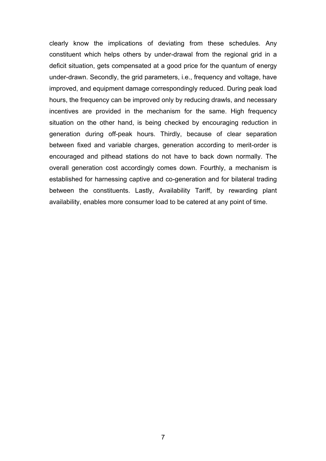clearly know the implications of deviating from these schedules. Any constituent which helps others by under-drawal from the regional grid in a deficit situation, gets compensated at a good price for the quantum of energy under-drawn. Secondly, the grid parameters, i.e., frequency and voltage, have improved, and equipment damage correspondingly reduced. During peak load hours, the frequency can be improved only by reducing drawls, and necessary incentives are provided in the mechanism for the same. High frequency situation on the other hand, is being checked by encouraging reduction in generation during off-peak hours. Thirdly, because of clear separation between fixed and variable charges, generation according to merit-order is encouraged and pithead stations do not have to back down normally. The overall generation cost accordingly comes down. Fourthly, a mechanism is established for harnessing captive and co-generation and for bilateral trading between the constituents. Lastly, Availability Tariff, by rewarding plant availability, enables more consumer load to be catered at any point of time.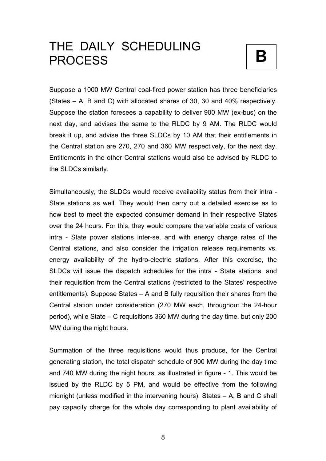## THE DAILY SCHEDULING PROCESS **B**



Suppose a 1000 MW Central coal-fired power station has three beneficiaries (States – A, B and C) with allocated shares of 30, 30 and 40% respectively. Suppose the station foresees a capability to deliver 900 MW (ex-bus) on the next day, and advises the same to the RLDC by 9 AM. The RLDC would break it up, and advise the three SLDCs by 10 AM that their entitlements in the Central station are 270, 270 and 360 MW respectively, for the next day. Entitlements in the other Central stations would also be advised by RLDC to the SLDCs similarly.

Simultaneously, the SLDCs would receive availability status from their intra - State stations as well. They would then carry out a detailed exercise as to how best to meet the expected consumer demand in their respective States over the 24 hours. For this, they would compare the variable costs of various intra - State power stations inter-se, and with energy charge rates of the Central stations, and also consider the irrigation release requirements vs. energy availability of the hydro-electric stations. After this exercise, the SLDCs will issue the dispatch schedules for the intra - State stations, and their requisition from the Central stations (restricted to the States' respective entitlements). Suppose States – A and B fully requisition their shares from the Central station under consideration (270 MW each, throughout the 24-hour period), while State – C requisitions 360 MW during the day time, but only 200 MW during the night hours.

Summation of the three requisitions would thus produce, for the Central generating station, the total dispatch schedule of 900 MW during the day time and 740 MW during the night hours, as illustrated in figure - 1. This would be issued by the RLDC by 5 PM, and would be effective from the following midnight (unless modified in the intervening hours). States – A, B and C shall pay capacity charge for the whole day corresponding to plant availability of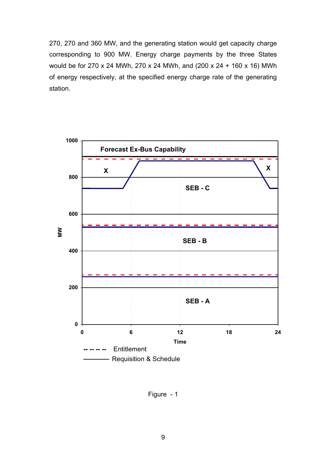270, 270 and 360 MW, and the generating station would get capacity charge corresponding to 900 MW. Energy charge payments by the three States would be for 270 x 24 MWh, 270 x 24 MWh, and (200 x 24 + 160 x 16) MWh of energy respectively, at the specified energy charge rate of the generating station.



Figure - 1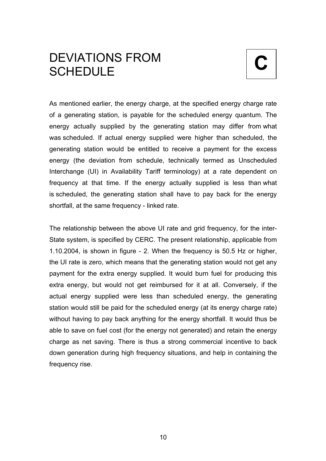### **C** DEVIATIONS FROM **SCHEDULE**

As mentioned earlier, the energy charge, at the specified energy charge rate of a generating station, is payable for the scheduled energy quantum. The energy actually supplied by the generating station may differ from what was scheduled. If actual energy supplied were higher than scheduled, the generating station would be entitled to receive a payment for the excess energy (the deviation from schedule, technically termed as Unscheduled Interchange (UI) in Availability Tariff terminology) at a rate dependent on frequency at that time. If the energy actually supplied is less than what is scheduled, the generating station shall have to pay back for the energy shortfall, at the same frequency - linked rate.

The relationship between the above UI rate and grid frequency, for the inter-State system, is specified by CERC. The present relationship, applicable from 1.10.2004, is shown in figure - 2. When the frequency is 50.5 Hz or higher, the UI rate is zero, which means that the generating station would not get any payment for the extra energy supplied. It would burn fuel for producing this extra energy, but would not get reimbursed for it at all. Conversely, if the actual energy supplied were less than scheduled energy, the generating station would still be paid for the scheduled energy (at its energy charge rate) without having to pay back anything for the energy shortfall. It would thus be able to save on fuel cost (for the energy not generated) and retain the energy charge as net saving. There is thus a strong commercial incentive to back down generation during high frequency situations, and help in containing the frequency rise.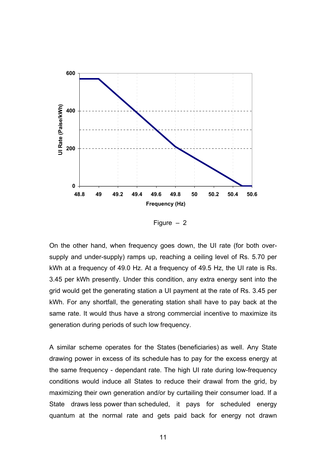

Figure – 2

On the other hand, when frequency goes down, the UI rate (for both oversupply and under-supply) ramps up, reaching a ceiling level of Rs. 5.70 per kWh at a frequency of 49.0 Hz. At a frequency of 49.5 Hz, the UI rate is Rs. 3.45 per kWh presently. Under this condition, any extra energy sent into the grid would get the generating station a UI payment at the rate of Rs. 3.45 per kWh. For any shortfall, the generating station shall have to pay back at the same rate. It would thus have a strong commercial incentive to maximize its generation during periods of such low frequency.

A similar scheme operates for the States (beneficiaries) as well. Any State drawing power in excess of its schedule has to pay for the excess energy at the same frequency - dependant rate. The high UI rate during low-frequency conditions would induce all States to reduce their drawal from the grid, by maximizing their own generation and/or by curtailing their consumer load. If a State draws less power than scheduled, it pays for scheduled energy quantum at the normal rate and gets paid back for energy not drawn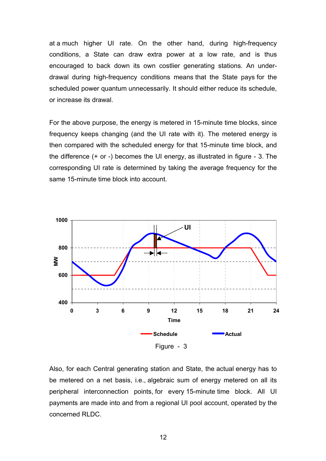at a much higher UI rate. On the other hand, during high-frequency conditions, a State can draw extra power at a low rate, and is thus encouraged to back down its own costlier generating stations. An underdrawal during high-frequency conditions means that the State pays for the scheduled power quantum unnecessarily. It should either reduce its schedule, or increase its drawal.

For the above purpose, the energy is metered in 15-minute time blocks, since frequency keeps changing (and the UI rate with it). The metered energy is then compared with the scheduled energy for that 15-minute time block, and the difference (+ or -) becomes the UI energy, as illustrated in figure - 3. The corresponding UI rate is determined by taking the average frequency for the same 15-minute time block into account.



Also, for each Central generating station and State, the actual energy has to be metered on a net basis, i.e., algebraic sum of energy metered on all its peripheral interconnection points, for every 15-minute time block. All UI payments are made into and from a regional UI pool account, operated by the concerned RLDC.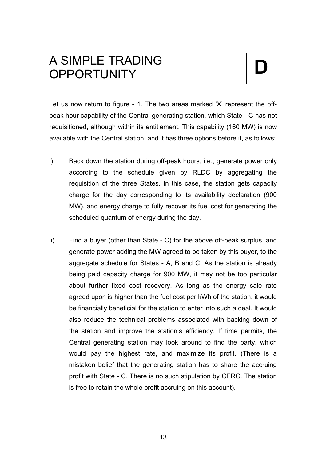### **D** A SIMPLE TRADING **OPPORTUNITY**



Let us now return to figure - 1. The two areas marked 'X' represent the offpeak hour capability of the Central generating station, which State - C has not requisitioned, although within its entitlement. This capability (160 MW) is now available with the Central station, and it has three options before it, as follows:

- i) Back down the station during off-peak hours, i.e., generate power only according to the schedule given by RLDC by aggregating the requisition of the three States. In this case, the station gets capacity charge for the day corresponding to its availability declaration (900 MW), and energy charge to fully recover its fuel cost for generating the scheduled quantum of energy during the day.
- ii) Find a buyer (other than State C) for the above off-peak surplus, and generate power adding the MW agreed to be taken by this buyer, to the aggregate schedule for States - A, B and C. As the station is already being paid capacity charge for 900 MW, it may not be too particular about further fixed cost recovery. As long as the energy sale rate agreed upon is higher than the fuel cost per kWh of the station, it would be financially beneficial for the station to enter into such a deal. It would also reduce the technical problems associated with backing down of the station and improve the station's efficiency. If time permits, the Central generating station may look around to find the party, which would pay the highest rate, and maximize its profit. (There is a mistaken belief that the generating station has to share the accruing profit with State - C. There is no such stipulation by CERC. The station is free to retain the whole profit accruing on this account).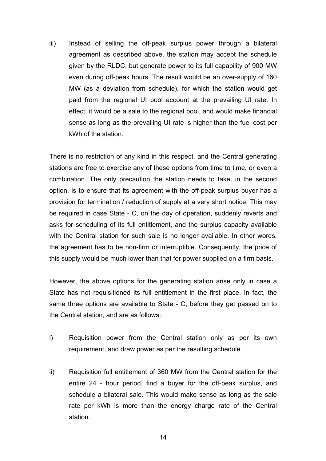iii) Instead of selling the off-peak surplus power through a bilateral agreement as described above, the station may accept the schedule given by the RLDC, but generate power to its full capability of 900 MW even during off-peak hours. The result would be an over-supply of 160 MW (as a deviation from schedule), for which the station would get paid from the regional UI pool account at the prevailing UI rate. In effect, it would be a sale to the regional pool, and would make financial sense as long as the prevailing UI rate is higher than the fuel cost per kWh of the station.

There is no restriction of any kind in this respect, and the Central generating stations are free to exercise any of these options from time to time, or even a combination. The only precaution the station needs to take, in the second option, is to ensure that its agreement with the off-peak surplus buyer has a provision for termination / reduction of supply at a very short notice. This may be required in case State - C, on the day of operation, suddenly reverts and asks for scheduling of its full entitlement, and the surplus capacity available with the Central station for such sale is no longer available. In other words, the agreement has to be non-firm or interruptible. Consequently, the price of this supply would be much lower than that for power supplied on a firm basis.

However, the above options for the generating station arise only in case a State has not requisitioned its full entitlement in the first place. In fact, the same three options are available to State - C, before they get passed on to the Central station, and are as follows:

- i) Requisition power from the Central station only as per its own requirement, and draw power as per the resulting schedule.
- ii) Requisition full entitlement of 360 MW from the Central station for the entire 24 - hour period, find a buyer for the off-peak surplus, and schedule a bilateral sale. This would make sense as long as the sale rate per kWh is more than the energy charge rate of the Central station.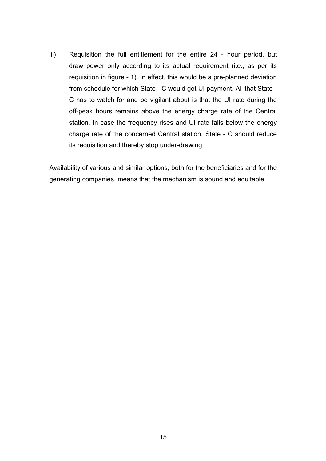iii) Requisition the full entitlement for the entire 24 - hour period, but draw power only according to its actual requirement (i.e., as per its requisition in figure - 1). In effect, this would be a pre-planned deviation from schedule for which State - C would get UI payment. All that State - C has to watch for and be vigilant about is that the UI rate during the off-peak hours remains above the energy charge rate of the Central station. In case the frequency rises and UI rate falls below the energy charge rate of the concerned Central station, State - C should reduce its requisition and thereby stop under-drawing.

Availability of various and similar options, both for the beneficiaries and for the generating companies, means that the mechanism is sound and equitable.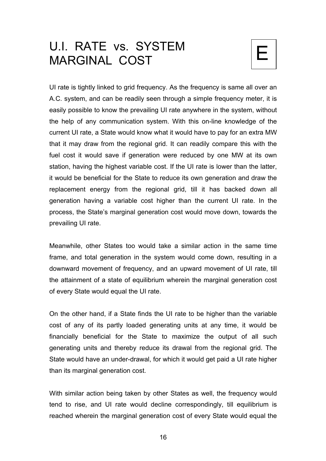## U.I. RATE vs. SYSTEM MARGINAL COST

UI rate is tightly linked to grid frequency. As the frequency is same all over an A.C. system, and can be readily seen through a simple frequency meter, it is easily possible to know the prevailing UI rate anywhere in the system, without the help of any communication system. With this on-line knowledge of the current UI rate, a State would know what it would have to pay for an extra MW that it may draw from the regional grid. It can readily compare this with the fuel cost it would save if generation were reduced by one MW at its own station, having the highest variable cost. If the UI rate is lower than the latter, it would be beneficial for the State to reduce its own generation and draw the replacement energy from the regional grid, till it has backed down all generation having a variable cost higher than the current UI rate. In the process, the State's marginal generation cost would move down, towards the prevailing UI rate.

Meanwhile, other States too would take a similar action in the same time frame, and total generation in the system would come down, resulting in a downward movement of frequency, and an upward movement of UI rate, till the attainment of a state of equilibrium wherein the marginal generation cost of every State would equal the UI rate.

On the other hand, if a State finds the UI rate to be higher than the variable cost of any of its partly loaded generating units at any time, it would be financially beneficial for the State to maximize the output of all such generating units and thereby reduce its drawal from the regional grid. The State would have an under-drawal, for which it would get paid a UI rate higher than its marginal generation cost.

With similar action being taken by other States as well, the frequency would tend to rise, and UI rate would decline correspondingly, till equilibrium is reached wherein the marginal generation cost of every State would equal the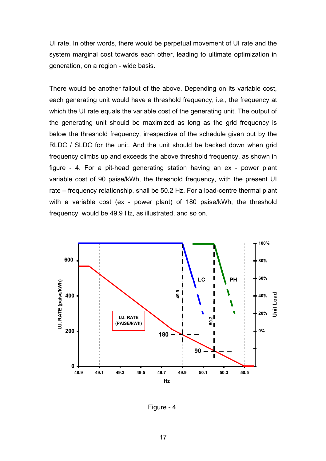UI rate. In other words, there would be perpetual movement of UI rate and the system marginal cost towards each other, leading to ultimate optimization in generation, on a region - wide basis.

There would be another fallout of the above. Depending on its variable cost, each generating unit would have a threshold frequency, i.e., the frequency at which the UI rate equals the variable cost of the generating unit. The output of the generating unit should be maximized as long as the grid frequency is below the threshold frequency, irrespective of the schedule given out by the RLDC / SLDC for the unit. And the unit should be backed down when grid frequency climbs up and exceeds the above threshold frequency, as shown in figure - 4. For a pit-head generating station having an ex - power plant variable cost of 90 paise/kWh, the threshold frequency, with the present UI rate – frequency relationship, shall be 50.2 Hz. For a load-centre thermal plant with a variable cost (ex - power plant) of 180 paise/kWh, the threshold frequency would be 49.9 Hz, as illustrated, and so on.



Figure - 4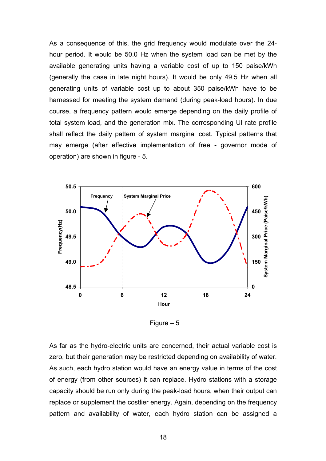As a consequence of this, the grid frequency would modulate over the 24 hour period. It would be 50.0 Hz when the system load can be met by the available generating units having a variable cost of up to 150 paise/kWh (generally the case in late night hours). It would be only 49.5 Hz when all generating units of variable cost up to about 350 paise/kWh have to be harnessed for meeting the system demand (during peak-load hours). In due course, a frequency pattern would emerge depending on the daily profile of total system load, and the generation mix. The corresponding UI rate profile shall reflect the daily pattern of system marginal cost. Typical patterns that may emerge (after effective implementation of free - governor mode of operation) are shown in figure - 5.



Figure  $-5$ 

As far as the hydro-electric units are concerned, their actual variable cost is zero, but their generation may be restricted depending on availability of water. As such, each hydro station would have an energy value in terms of the cost of energy (from other sources) it can replace. Hydro stations with a storage capacity should be run only during the peak-load hours, when their output can replace or supplement the costlier energy. Again, depending on the frequency pattern and availability of water, each hydro station can be assigned a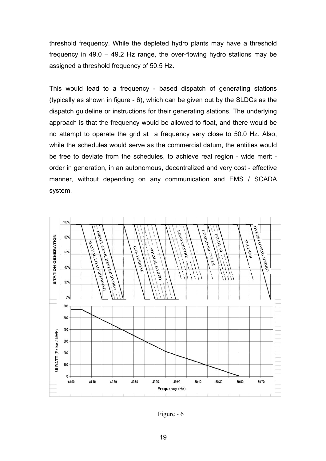threshold frequency. While the depleted hydro plants may have a threshold frequency in 49.0 – 49.2 Hz range, the over-flowing hydro stations may be assigned a threshold frequency of 50.5 Hz.

This would lead to a frequency - based dispatch of generating stations (typically as shown in figure - 6), which can be given out by the SLDCs as the dispatch guideline or instructions for their generating stations. The underlying approach is that the frequency would be allowed to float, and there would be no attempt to operate the grid at a frequency very close to 50.0 Hz. Also, while the schedules would serve as the commercial datum, the entities would be free to deviate from the schedules, to achieve real region - wide merit order in generation, in an autonomous, decentralized and very cost - effective manner, without depending on any communication and EMS / SCADA system.



Figure - 6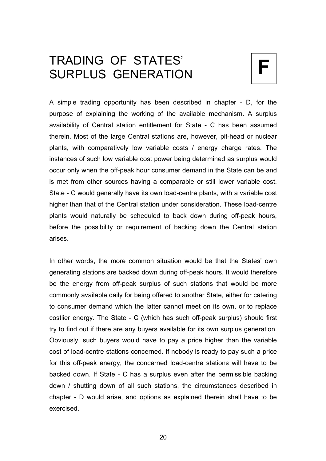## TRADING OF STATES'  $\vert \mathsf{F} \vert$



A simple trading opportunity has been described in chapter - D, for the purpose of explaining the working of the available mechanism. A surplus availability of Central station entitlement for State - C has been assumed therein. Most of the large Central stations are, however, pit-head or nuclear plants, with comparatively low variable costs / energy charge rates. The instances of such low variable cost power being determined as surplus would occur only when the off-peak hour consumer demand in the State can be and is met from other sources having a comparable or still lower variable cost. State - C would generally have its own load-centre plants, with a variable cost higher than that of the Central station under consideration. These load-centre plants would naturally be scheduled to back down during off-peak hours, before the possibility or requirement of backing down the Central station arises.

In other words, the more common situation would be that the States' own generating stations are backed down during off-peak hours. It would therefore be the energy from off-peak surplus of such stations that would be more commonly available daily for being offered to another State, either for catering to consumer demand which the latter cannot meet on its own, or to replace costlier energy. The State - C (which has such off-peak surplus) should first try to find out if there are any buyers available for its own surplus generation. Obviously, such buyers would have to pay a price higher than the variable cost of load-centre stations concerned. If nobody is ready to pay such a price for this off-peak energy, the concerned load-centre stations will have to be backed down. If State - C has a surplus even after the permissible backing down / shutting down of all such stations, the circumstances described in chapter - D would arise, and options as explained therein shall have to be exercised.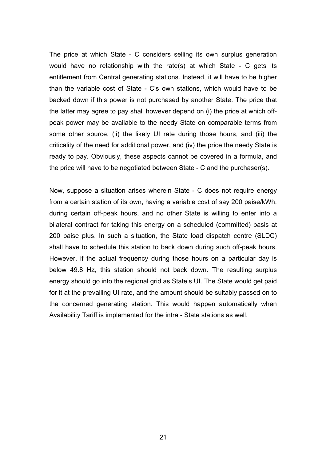The price at which State - C considers selling its own surplus generation would have no relationship with the rate(s) at which State - C gets its entitlement from Central generating stations. Instead, it will have to be higher than the variable cost of State - C's own stations, which would have to be backed down if this power is not purchased by another State. The price that the latter may agree to pay shall however depend on (i) the price at which offpeak power may be available to the needy State on comparable terms from some other source, (ii) the likely UI rate during those hours, and (iii) the criticality of the need for additional power, and (iv) the price the needy State is ready to pay. Obviously, these aspects cannot be covered in a formula, and the price will have to be negotiated between State - C and the purchaser(s).

Now, suppose a situation arises wherein State - C does not require energy from a certain station of its own, having a variable cost of say 200 paise/kWh, during certain off-peak hours, and no other State is willing to enter into a bilateral contract for taking this energy on a scheduled (committed) basis at 200 paise plus. In such a situation, the State load dispatch centre (SLDC) shall have to schedule this station to back down during such off-peak hours. However, if the actual frequency during those hours on a particular day is below 49.8 Hz, this station should not back down. The resulting surplus energy should go into the regional grid as State's UI. The State would get paid for it at the prevailing UI rate, and the amount should be suitably passed on to the concerned generating station. This would happen automatically when Availability Tariff is implemented for the intra - State stations as well.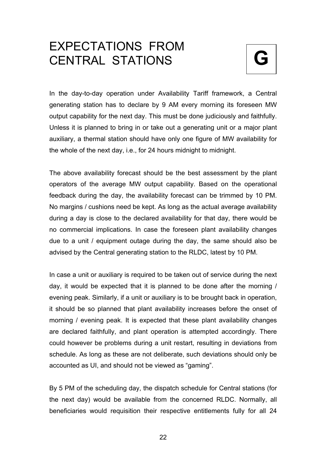### EXPECTATIONS FROM **CENTRAL STATIONS**



In the day-to-day operation under Availability Tariff framework, a Central generating station has to declare by 9 AM every morning its foreseen MW output capability for the next day. This must be done judiciously and faithfully. Unless it is planned to bring in or take out a generating unit or a major plant auxiliary, a thermal station should have only one figure of MW availability for the whole of the next day, i.e., for 24 hours midnight to midnight.

The above availability forecast should be the best assessment by the plant operators of the average MW output capability. Based on the operational feedback during the day, the availability forecast can be trimmed by 10 PM. No margins / cushions need be kept. As long as the actual average availability during a day is close to the declared availability for that day, there would be no commercial implications. In case the foreseen plant availability changes due to a unit / equipment outage during the day, the same should also be advised by the Central generating station to the RLDC, latest by 10 PM.

In case a unit or auxiliary is required to be taken out of service during the next day, it would be expected that it is planned to be done after the morning / evening peak. Similarly, if a unit or auxiliary is to be brought back in operation, it should be so planned that plant availability increases before the onset of morning / evening peak. It is expected that these plant availability changes are declared faithfully, and plant operation is attempted accordingly. There could however be problems during a unit restart, resulting in deviations from schedule. As long as these are not deliberate, such deviations should only be accounted as UI, and should not be viewed as "gaming".

By 5 PM of the scheduling day, the dispatch schedule for Central stations (for the next day) would be available from the concerned RLDC. Normally, all beneficiaries would requisition their respective entitlements fully for all 24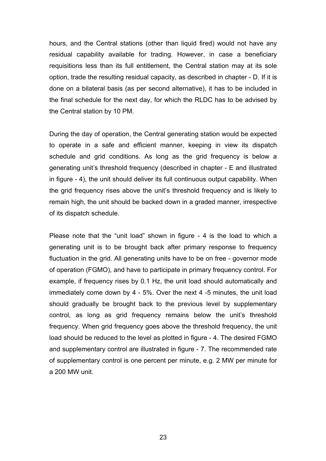hours, and the Central stations (other than liquid fired) would not have any residual capability available for trading. However, in case a beneficiary requisitions less than its full entitlement, the Central station may at its sole option, trade the resulting residual capacity, as described in chapter - D. If it is done on a bilateral basis (as per second alternative), it has to be included in the final schedule for the next day, for which the RLDC has to be advised by the Central station by 10 PM.

During the day of operation, the Central generating station would be expected to operate in a safe and efficient manner, keeping in view its dispatch schedule and grid conditions. As long as the grid frequency is below a generating unit's threshold frequency (described in chapter - E and illustrated in figure - 4), the unit should deliver its full continuous output capability. When the grid frequency rises above the unit's threshold frequency and is likely to remain high, the unit should be backed down in a graded manner, irrespective of its dispatch schedule.

Please note that the "unit load" shown in figure - 4 is the load to which a generating unit is to be brought back after primary response to frequency fluctuation in the grid. All generating units have to be on free - governor mode of operation (FGMO), and have to participate in primary frequency control. For example, if frequency rises by 0.1 Hz, the unit load should automatically and immediately come down by 4 - 5%. Over the next 4 -5 minutes, the unit load should gradually be brought back to the previous level by supplementary control, as long as grid frequency remains below the unit's threshold frequency. When grid frequency goes above the threshold frequency, the unit load should be reduced to the level as plotted in figure - 4. The desired FGMO and supplementary control are illustrated in figure - 7. The recommended rate of supplementary control is one percent per minute, e.g. 2 MW per minute for a 200 MW unit.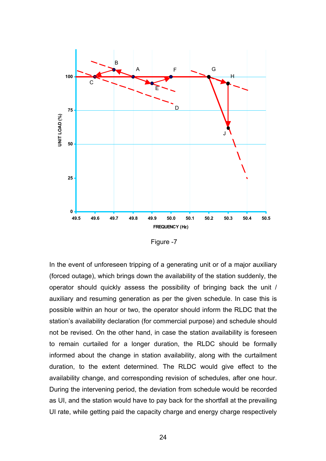

Figure -7

In the event of unforeseen tripping of a generating unit or of a major auxiliary (forced outage), which brings down the availability of the station suddenly, the operator should quickly assess the possibility of bringing back the unit / auxiliary and resuming generation as per the given schedule. In case this is possible within an hour or two, the operator should inform the RLDC that the station's availability declaration (for commercial purpose) and schedule should not be revised. On the other hand, in case the station availability is foreseen to remain curtailed for a longer duration, the RLDC should be formally informed about the change in station availability, along with the curtailment duration, to the extent determined. The RLDC would give effect to the availability change, and corresponding revision of schedules, after one hour. During the intervening period, the deviation from schedule would be recorded as UI, and the station would have to pay back for the shortfall at the prevailing UI rate, while getting paid the capacity charge and energy charge respectively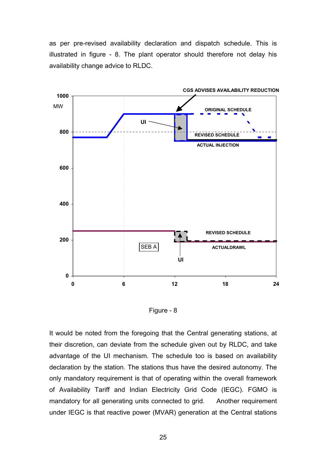as per pre-revised availability declaration and dispatch schedule. This is illustrated in figure - 8. The plant operator should therefore not delay his availability change advice to RLDC.



Figure - 8

It would be noted from the foregoing that the Central generating stations, at their discretion, can deviate from the schedule given out by RLDC, and take advantage of the UI mechanism. The schedule too is based on availability declaration by the station. The stations thus have the desired autonomy. The only mandatory requirement is that of operating within the overall framework of Availability Tariff and Indian Electricity Grid Code (IEGC). FGMO is mandatory for all generating units connected to grid. Another requirement under IEGC is that reactive power (MVAR) generation at the Central stations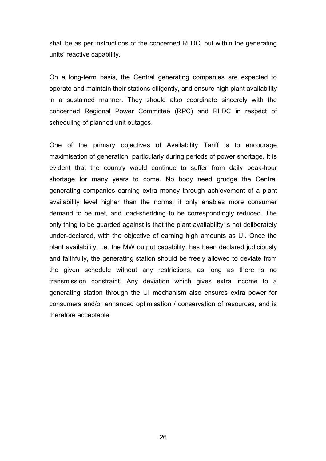shall be as per instructions of the concerned RLDC, but within the generating units' reactive capability.

On a long-term basis, the Central generating companies are expected to operate and maintain their stations diligently, and ensure high plant availability in a sustained manner. They should also coordinate sincerely with the concerned Regional Power Committee (RPC) and RLDC in respect of scheduling of planned unit outages.

One of the primary objectives of Availability Tariff is to encourage maximisation of generation, particularly during periods of power shortage. It is evident that the country would continue to suffer from daily peak-hour shortage for many years to come. No body need grudge the Central generating companies earning extra money through achievement of a plant availability level higher than the norms; it only enables more consumer demand to be met, and load-shedding to be correspondingly reduced. The only thing to be guarded against is that the plant availability is not deliberately under-declared, with the objective of earning high amounts as UI. Once the plant availability, i.e. the MW output capability, has been declared judiciously and faithfully, the generating station should be freely allowed to deviate from the given schedule without any restrictions, as long as there is no transmission constraint. Any deviation which gives extra income to a generating station through the UI mechanism also ensures extra power for consumers and/or enhanced optimisation / conservation of resources, and is therefore acceptable.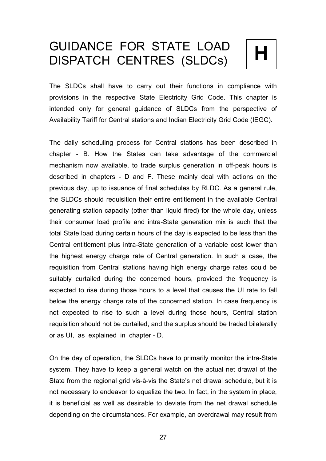# GUIDANCE FOR STATE LOAD<br>DISPATCH CENTRES (SLDCs) | **H**



The SLDCs shall have to carry out their functions in compliance with provisions in the respective State Electricity Grid Code. This chapter is intended only for general guidance of SLDCs from the perspective of Availability Tariff for Central stations and Indian Electricity Grid Code (IEGC).

The daily scheduling process for Central stations has been described in chapter - B. How the States can take advantage of the commercial mechanism now available, to trade surplus generation in off-peak hours is described in chapters - D and F. These mainly deal with actions on the previous day, up to issuance of final schedules by RLDC. As a general rule, the SLDCs should requisition their entire entitlement in the available Central generating station capacity (other than liquid fired) for the whole day, unless their consumer load profile and intra-State generation mix is such that the total State load during certain hours of the day is expected to be less than the Central entitlement plus intra-State generation of a variable cost lower than the highest energy charge rate of Central generation. In such a case, the requisition from Central stations having high energy charge rates could be suitably curtailed during the concerned hours, provided the frequency is expected to rise during those hours to a level that causes the UI rate to fall below the energy charge rate of the concerned station. In case frequency is not expected to rise to such a level during those hours, Central station requisition should not be curtailed, and the surplus should be traded bilaterally or as UI, as explained in chapter - D.

On the day of operation, the SLDCs have to primarily monitor the intra-State system. They have to keep a general watch on the actual net drawal of the State from the regional grid vis-à-vis the State's net drawal schedule, but it is not necessary to endeavor to equalize the two. In fact, in the system in place, it is beneficial as well as desirable to deviate from the net drawal schedule depending on the circumstances. For example, an overdrawal may result from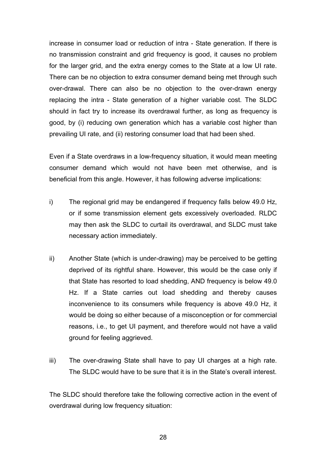increase in consumer load or reduction of intra - State generation. If there is no transmission constraint and grid frequency is good, it causes no problem for the larger grid, and the extra energy comes to the State at a low UI rate. There can be no objection to extra consumer demand being met through such over-drawal. There can also be no objection to the over-drawn energy replacing the intra - State generation of a higher variable cost. The SLDC should in fact try to increase its overdrawal further, as long as frequency is good, by (i) reducing own generation which has a variable cost higher than prevailing UI rate, and (ii) restoring consumer load that had been shed.

Even if a State overdraws in a low-frequency situation, it would mean meeting consumer demand which would not have been met otherwise, and is beneficial from this angle. However, it has following adverse implications:

- i) The regional grid may be endangered if frequency falls below 49.0 Hz, or if some transmission element gets excessively overloaded. RLDC may then ask the SLDC to curtail its overdrawal, and SLDC must take necessary action immediately.
- ii) Another State (which is under-drawing) may be perceived to be getting deprived of its rightful share. However, this would be the case only if that State has resorted to load shedding, AND frequency is below 49.0 Hz. If a State carries out load shedding and thereby causes inconvenience to its consumers while frequency is above 49.0 Hz, it would be doing so either because of a misconception or for commercial reasons, i.e., to get UI payment, and therefore would not have a valid ground for feeling aggrieved.
- iii) The over-drawing State shall have to pay UI charges at a high rate. The SLDC would have to be sure that it is in the State's overall interest.

The SLDC should therefore take the following corrective action in the event of overdrawal during low frequency situation: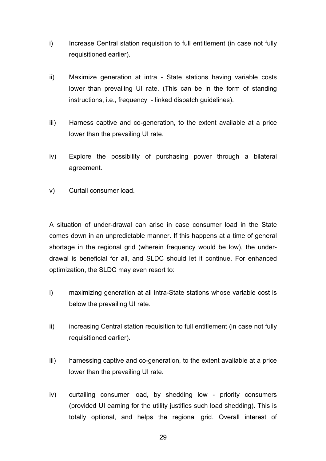- i) Increase Central station requisition to full entitlement (in case not fully requisitioned earlier).
- ii) Maximize generation at intra State stations having variable costs lower than prevailing UI rate. (This can be in the form of standing instructions, i.e., frequency - linked dispatch guidelines).
- iii) Harness captive and co-generation, to the extent available at a price lower than the prevailing UI rate.
- iv) Explore the possibility of purchasing power through a bilateral agreement.
- v) Curtail consumer load.

A situation of under-drawal can arise in case consumer load in the State comes down in an unpredictable manner. If this happens at a time of general shortage in the regional grid (wherein frequency would be low), the underdrawal is beneficial for all, and SLDC should let it continue. For enhanced optimization, the SLDC may even resort to:

- i) maximizing generation at all intra-State stations whose variable cost is below the prevailing UI rate.
- ii) increasing Central station requisition to full entitlement (in case not fully requisitioned earlier).
- iii) harnessing captive and co-generation, to the extent available at a price lower than the prevailing UI rate.
- iv) curtailing consumer load, by shedding low priority consumers (provided UI earning for the utility justifies such load shedding). This is totally optional, and helps the regional grid. Overall interest of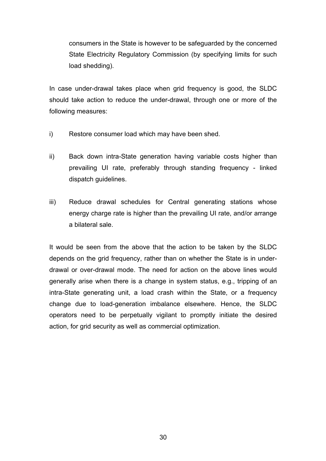consumers in the State is however to be safeguarded by the concerned State Electricity Regulatory Commission (by specifying limits for such load shedding).

In case under-drawal takes place when grid frequency is good, the SLDC should take action to reduce the under-drawal, through one or more of the following measures:

- i) Restore consumer load which may have been shed.
- ii) Back down intra-State generation having variable costs higher than prevailing UI rate, preferably through standing frequency - linked dispatch guidelines.
- iii) Reduce drawal schedules for Central generating stations whose energy charge rate is higher than the prevailing UI rate, and/or arrange a bilateral sale.

It would be seen from the above that the action to be taken by the SLDC depends on the grid frequency, rather than on whether the State is in underdrawal or over-drawal mode. The need for action on the above lines would generally arise when there is a change in system status, e.g., tripping of an intra-State generating unit, a load crash within the State, or a frequency change due to load-generation imbalance elsewhere. Hence, the SLDC operators need to be perpetually vigilant to promptly initiate the desired action, for grid security as well as commercial optimization.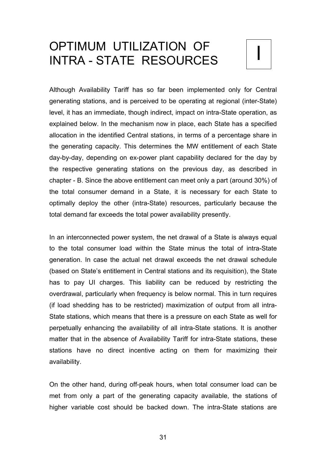## OPTIMUM UTILIZATION OF<br>INTRA - STATE RESOURCES

Although Availability Tariff has so far been implemented only for Central generating stations, and is perceived to be operating at regional (inter-State) level, it has an immediate, though indirect, impact on intra-State operation, as explained below. In the mechanism now in place, each State has a specified allocation in the identified Central stations, in terms of a percentage share in the generating capacity. This determines the MW entitlement of each State day-by-day, depending on ex-power plant capability declared for the day by the respective generating stations on the previous day, as described in chapter - B. Since the above entitlement can meet only a part (around 30%) of the total consumer demand in a State, it is necessary for each State to optimally deploy the other (intra-State) resources, particularly because the total demand far exceeds the total power availability presently.

In an interconnected power system, the net drawal of a State is always equal to the total consumer load within the State minus the total of intra-State generation. In case the actual net drawal exceeds the net drawal schedule (based on State's entitlement in Central stations and its requisition), the State has to pay UI charges. This liability can be reduced by restricting the overdrawal, particularly when frequency is below normal. This in turn requires (if load shedding has to be restricted) maximization of output from all intra-State stations, which means that there is a pressure on each State as well for perpetually enhancing the availability of all intra-State stations. It is another matter that in the absence of Availability Tariff for intra-State stations, these stations have no direct incentive acting on them for maximizing their availability.

On the other hand, during off-peak hours, when total consumer load can be met from only a part of the generating capacity available, the stations of higher variable cost should be backed down. The intra-State stations are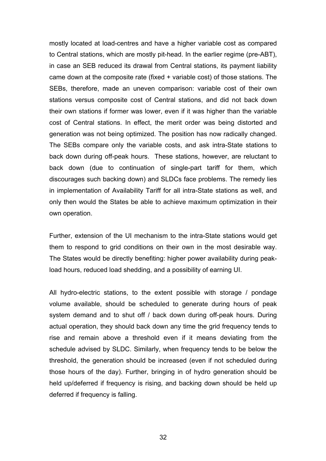mostly located at load-centres and have a higher variable cost as compared to Central stations, which are mostly pit-head. In the earlier regime (pre-ABT), in case an SEB reduced its drawal from Central stations, its payment liability came down at the composite rate (fixed + variable cost) of those stations. The SEBs, therefore, made an uneven comparison: variable cost of their own stations versus composite cost of Central stations, and did not back down their own stations if former was lower, even if it was higher than the variable cost of Central stations. In effect, the merit order was being distorted and generation was not being optimized. The position has now radically changed. The SEBs compare only the variable costs, and ask intra-State stations to back down during off-peak hours. These stations, however, are reluctant to back down (due to continuation of single-part tariff for them, which discourages such backing down) and SLDCs face problems. The remedy lies in implementation of Availability Tariff for all intra-State stations as well, and only then would the States be able to achieve maximum optimization in their own operation.

Further, extension of the UI mechanism to the intra-State stations would get them to respond to grid conditions on their own in the most desirable way. The States would be directly benefiting: higher power availability during peakload hours, reduced load shedding, and a possibility of earning UI.

All hydro-electric stations, to the extent possible with storage / pondage volume available, should be scheduled to generate during hours of peak system demand and to shut off / back down during off-peak hours. During actual operation, they should back down any time the grid frequency tends to rise and remain above a threshold even if it means deviating from the schedule advised by SLDC. Similarly, when frequency tends to be below the threshold, the generation should be increased (even if not scheduled during those hours of the day). Further, bringing in of hydro generation should be held up/deferred if frequency is rising, and backing down should be held up deferred if frequency is falling.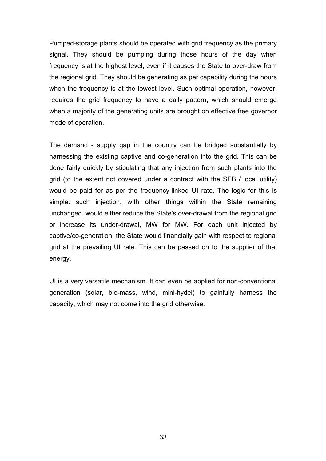Pumped-storage plants should be operated with grid frequency as the primary signal. They should be pumping during those hours of the day when frequency is at the highest level, even if it causes the State to over-draw from the regional grid. They should be generating as per capability during the hours when the frequency is at the lowest level. Such optimal operation, however, requires the grid frequency to have a daily pattern, which should emerge when a majority of the generating units are brought on effective free governor mode of operation.

The demand - supply gap in the country can be bridged substantially by harnessing the existing captive and co-generation into the grid. This can be done fairly quickly by stipulating that any injection from such plants into the grid (to the extent not covered under a contract with the SEB / local utility) would be paid for as per the frequency-linked UI rate. The logic for this is simple: such injection, with other things within the State remaining unchanged, would either reduce the State's over-drawal from the regional grid or increase its under-drawal, MW for MW. For each unit injected by captive/co-generation, the State would financially gain with respect to regional grid at the prevailing UI rate. This can be passed on to the supplier of that energy.

UI is a very versatile mechanism. It can even be applied for non-conventional generation (solar, bio-mass, wind, mini-hydel) to gainfully harness the capacity, which may not come into the grid otherwise.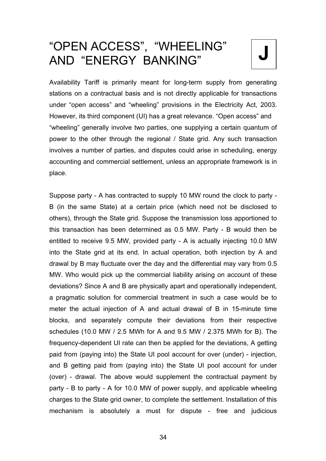### **J** "OPEN ACCESS", "WHEELING" AND "ENERGY BANKING"

Availability Tariff is primarily meant for long-term supply from generating stations on a contractual basis and is not directly applicable for transactions under "open access" and "wheeling" provisions in the Electricity Act, 2003. However, its third component (UI) has a great relevance. "Open access" and "wheeling" generally involve two parties, one supplying a certain quantum of power to the other through the regional / State grid. Any such transaction involves a number of parties, and disputes could arise in scheduling, energy accounting and commercial settlement, unless an appropriate framework is in place.

Suppose party - A has contracted to supply 10 MW round the clock to party - B (in the same State) at a certain price (which need not be disclosed to others), through the State grid. Suppose the transmission loss apportioned to this transaction has been determined as 0.5 MW. Party - B would then be entitled to receive 9.5 MW, provided party - A is actually injecting 10.0 MW into the State grid at its end. In actual operation, both injection by A and drawal by B may fluctuate over the day and the differential may vary from 0.5 MW. Who would pick up the commercial liability arising on account of these deviations? Since A and B are physically apart and operationally independent, a pragmatic solution for commercial treatment in such a case would be to meter the actual injection of A and actual drawal of B in 15-minute time blocks, and separately compute their deviations from their respective schedules (10.0 MW / 2.5 MWh for A and 9.5 MW / 2.375 MWh for B). The frequency-dependent UI rate can then be applied for the deviations, A getting paid from (paying into) the State UI pool account for over (under) - injection, and B getting paid from (paying into) the State UI pool account for under (over) - drawal. The above would supplement the contractual payment by party - B to party - A for 10.0 MW of power supply, and applicable wheeling charges to the State grid owner, to complete the settlement. Installation of this mechanism is absolutely a must for dispute - free and judicious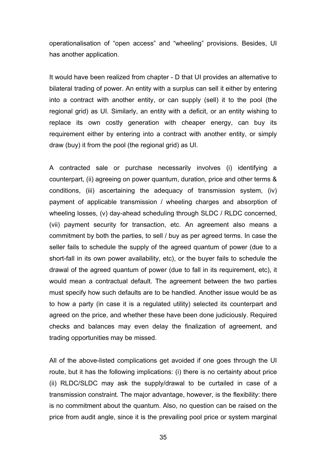operationalisation of "open access" and "wheeling" provisions. Besides, UI has another application.

It would have been realized from chapter - D that UI provides an alternative to bilateral trading of power. An entity with a surplus can sell it either by entering into a contract with another entity, or can supply (sell) it to the pool (the regional grid) as UI. Similarly, an entity with a deficit, or an entity wishing to replace its own costly generation with cheaper energy, can buy its requirement either by entering into a contract with another entity, or simply draw (buy) it from the pool (the regional grid) as UI.

A contracted sale or purchase necessarily involves (i) identifying a counterpart, (ii) agreeing on power quantum, duration, price and other terms & conditions, (iii) ascertaining the adequacy of transmission system, (iv) payment of applicable transmission / wheeling charges and absorption of wheeling losses, (v) day-ahead scheduling through SLDC / RLDC concerned, (vii) payment security for transaction, etc. An agreement also means a commitment by both the parties, to sell / buy as per agreed terms. In case the seller fails to schedule the supply of the agreed quantum of power (due to a short-fall in its own power availability, etc), or the buyer fails to schedule the drawal of the agreed quantum of power (due to fall in its requirement, etc), it would mean a contractual default. The agreement between the two parties must specify how such defaults are to be handled. Another issue would be as to how a party (in case it is a regulated utility) selected its counterpart and agreed on the price, and whether these have been done judiciously. Required checks and balances may even delay the finalization of agreement, and trading opportunities may be missed.

All of the above-listed complications get avoided if one goes through the UI route, but it has the following implications: (i) there is no certainty about price (ii) RLDC/SLDC may ask the supply/drawal to be curtailed in case of a transmission constraint. The major advantage, however, is the flexibility: there is no commitment about the quantum. Also, no question can be raised on the price from audit angle, since it is the prevailing pool price or system marginal